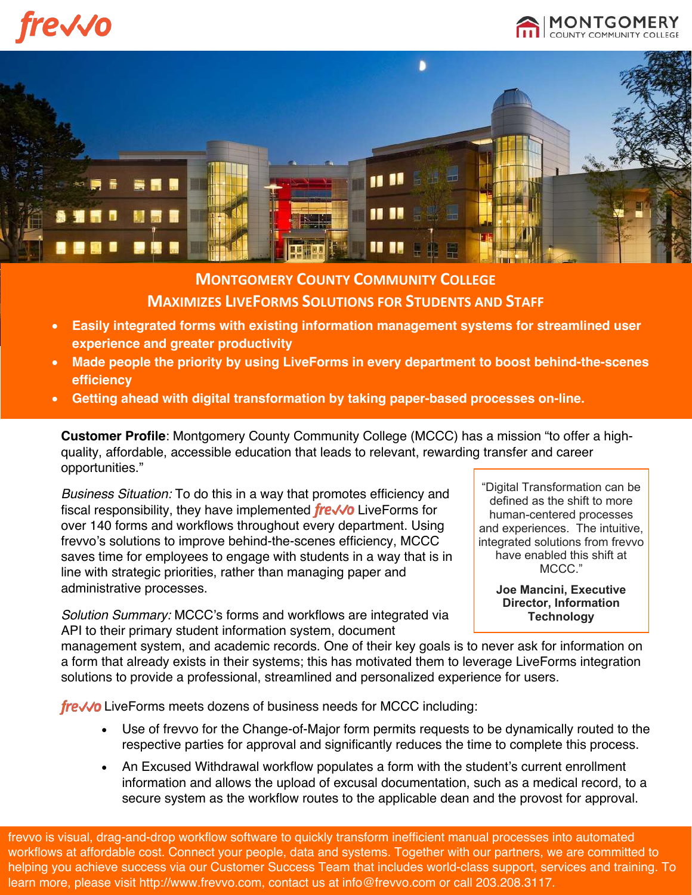**'e√√o** 





## **MONTGOMERY COUNTY COMMUNITY COLLEGE MAXIMIZES LIVEFORMS SOLUTIONS FOR STUDENTS AND STAFF**

- **Easily integrated forms with existing information management systems for streamlined user experience and greater productivity**
- **Made people the priority by using LiveForms in every department to boost behind-the-scenes efficiency**
- **Getting ahead with digital transformation by taking paper-based processes on-line.**

**Customer Profile**: Montgomery County Community College (MCCC) has a mission "to offer a highquality, affordable, accessible education that leads to relevant, rewarding transfer and career opportunities."

*Business Situation:* To do this in a way that promotes efficiency and fiscal responsibility, they have implemented  $f$ re $\sqrt{\theta}$  LiveForms for over 140 forms and workflows throughout every department. Using frevvo's solutions to improve behind-the-scenes efficiency, MCCC saves time for employees to engage with students in a way that is in line with strategic priorities, rather than managing paper and administrative processes.

*Solution Summary:* MCCC's forms and workflows are integrated via API to their primary student information system, document

"Digital Transformation can be defined as the shift to more human-centered processes and experiences. The intuitive, integrated solutions from frevvo have enabled this shift at MCCC."

> **Joe Mancini, Executive Director, Information Technology**

management system, and academic records. One of their key goals is to never ask for information on a form that already exists in their systems; this has motivated them to leverage LiveForms integration solutions to provide a professional, streamlined and personalized experience for users.

fre√√o LiveForms meets dozens of business needs for MCCC including:

- Use of frevvo for the Change-of-Major form permits requests to be dynamically routed to the respective parties for approval and significantly reduces the time to complete this process.
- An Excused Withdrawal workflow populates a form with the student's current enrollment information and allows the upload of excusal documentation, such as a medical record, to a secure system as the workflow routes to the applicable dean and the provost for approval.

frevvo is visual, drag-and-drop workflow software to quickly transform inefficient manual processes into automated workflows at affordable cost. Connect your people, data and systems. Together with our partners, we are committed to helping you achieve success via our Customer Success Team that includes world-class support, services and training. To learn more, please visit http://www.frevvo.com, contact us at info@frevvo.com or call 203.208.3117.